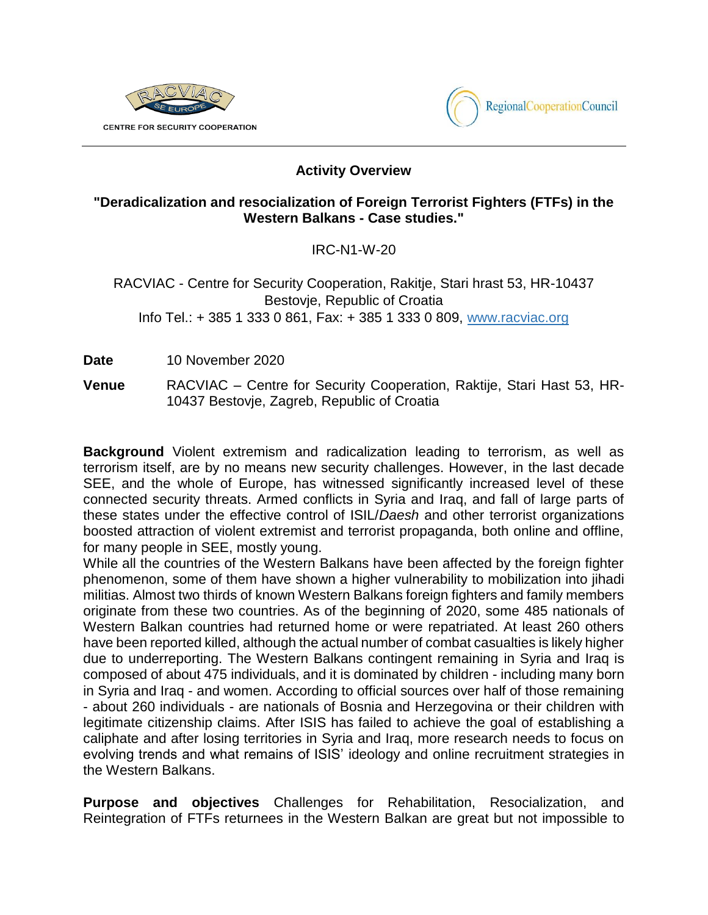



## **Activity Overview**

## **"Deradicalization and resocialization of Foreign Terrorist Fighters (FTFs) in the Western Balkans - Case studies."**

IRC-N1-W-20

## RACVIAC - Centre for Security Cooperation, Rakitje, Stari hrast 53, HR-10437 Bestovje, Republic of Croatia Info Tel.: + 385 1 333 0 861, Fax: + 385 1 333 0 809, [www.racviac.org](http://www.racviac.org/)

**Date** 10 November 2020

**Venue** RACVIAC – Centre for Security Cooperation, Raktije, Stari Hast 53, HR-10437 Bestovje, Zagreb, Republic of Croatia

**Background** Violent extremism and radicalization leading to terrorism, as well as terrorism itself, are by no means new security challenges. However, in the last decade SEE, and the whole of Europe, has witnessed significantly increased level of these connected security threats. Armed conflicts in Syria and Iraq, and fall of large parts of these states under the effective control of ISIL/*Daesh* and other terrorist organizations boosted attraction of violent extremist and terrorist propaganda, both online and offline, for many people in SEE, mostly young.

While all the countries of the Western Balkans have been affected by the foreign fighter phenomenon, some of them have shown a higher vulnerability to mobilization into jihadi militias. Almost two thirds of known Western Balkans foreign fighters and family members originate from these two countries. As of the beginning of 2020, some 485 nationals of Western Balkan countries had returned home or were repatriated. At least 260 others have been reported killed, although the actual number of combat casualties is likely higher due to underreporting. The Western Balkans contingent remaining in Syria and Iraq is composed of about 475 individuals, and it is dominated by children - including many born in Syria and Iraq - and women. According to official sources over half of those remaining - about 260 individuals - are nationals of Bosnia and Herzegovina or their children with legitimate citizenship claims. After ISIS has failed to achieve the goal of establishing a caliphate and after losing territories in Syria and Iraq, more research needs to focus on evolving trends and what remains of ISIS' ideology and online recruitment strategies in the Western Balkans.

**Purpose and objectives** Challenges for Rehabilitation, Resocialization, and Reintegration of FTFs returnees in the Western Balkan are great but not impossible to